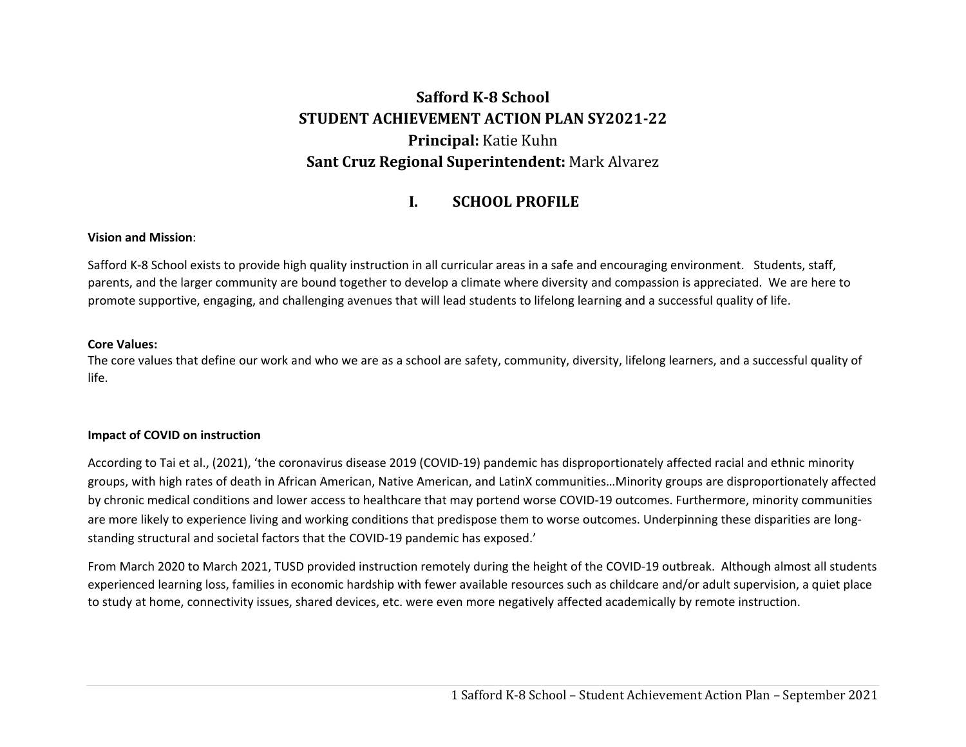# **SaffordK‐8 School STUDENT ACHIEVEMENT ACTION PLAN SY2021‐22 Principal:** Katie Kuhn **Sant Cruz Regional Superintendent:** Mark Alvarez

#### **I.SCHOOL PROFILE**

### **Vision and Mission**:

Safford K-8 School exists to provide high quality instruction in all curricular areas in a safe and encouraging environment. Students, staff, parents, and the larger community are bound together to develop a climate where diversity and compassion is appreciated. We are here to promote supportive, engaging, and challenging avenues that will lead students to lifelong learning and a successful quality of life.

#### **Core Values:**

The core values that define our work and who we are as a school are safety, community, diversity, lifelong learners, and a successful quality of life.

### **Impact of COVID on instruction**

According to Tai et al., (2021), 'the coronavirus disease 2019 (COVID‐19) pandemic has disproportionately affected racial and ethnic minority groups, with high rates of death in African American, Native American, and LatinX communities…Minority groups are disproportionately affected by chronic medical conditions and lower access to healthcare that may portend worse COVID‐19 outcomes. Furthermore, minority communities are more likely to experience living and working conditions that predispose them to worse outcomes. Underpinning these disparities are longstanding structural and societal factors that the COVID‐19 pandemic has exposed.'

From March 2020 to March 2021, TUSD provided instruction remotely during the height of the COVID‐19 outbreak. Although almost all students experienced learning loss, families in economic hardship with fewer available resources such as childcare and/or adult supervision, a quiet place to study at home, connectivity issues, shared devices, etc. were even more negatively affected academically by remote instruction.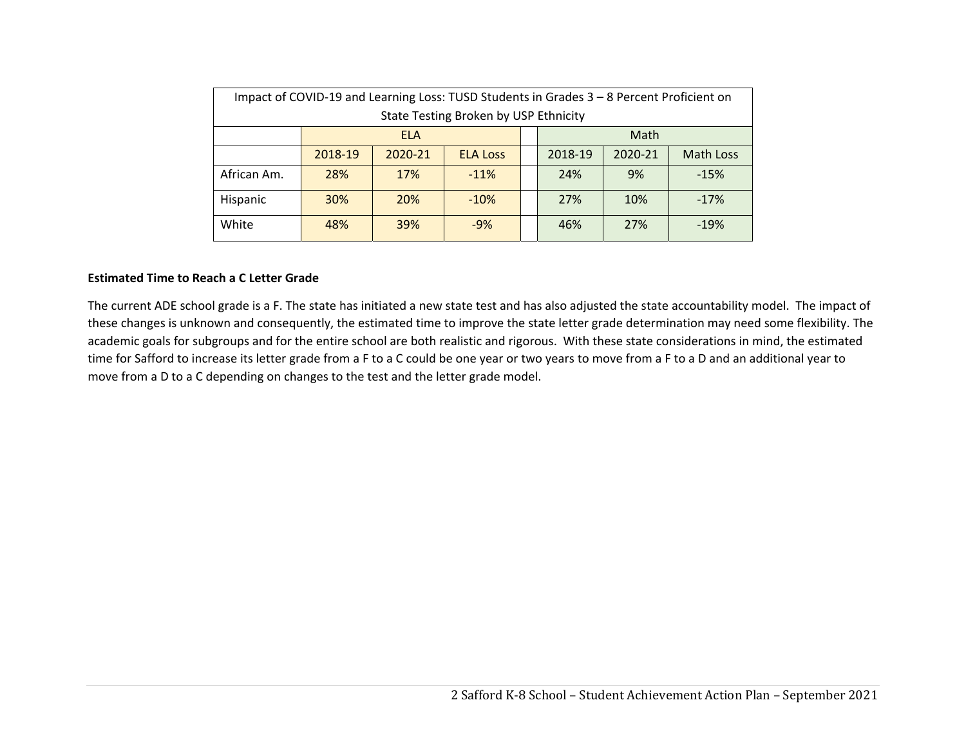| Impact of COVID-19 and Learning Loss: TUSD Students in Grades 3 - 8 Percent Proficient on |            |            |                 |  |         |         |                  |  |  |
|-------------------------------------------------------------------------------------------|------------|------------|-----------------|--|---------|---------|------------------|--|--|
| State Testing Broken by USP Ethnicity                                                     |            |            |                 |  |         |         |                  |  |  |
|                                                                                           | <b>ELA</b> |            |                 |  | Math    |         |                  |  |  |
|                                                                                           | 2018-19    | 2020-21    | <b>ELA Loss</b> |  | 2018-19 | 2020-21 | <b>Math Loss</b> |  |  |
| African Am.                                                                               | 28%        | 17%        | $-11%$          |  | 24%     | 9%      | $-15%$           |  |  |
| <b>Hispanic</b>                                                                           | <b>30%</b> | <b>20%</b> | $-10%$          |  | 27%     | 10%     | $-17%$           |  |  |
| White                                                                                     | 48%        | 39%        | $-9%$           |  | 46%     | 27%     | $-19%$           |  |  |

### **Estimated Time to Reach a C Letter Grade**

The current ADE school grade is a F. The state has initiated a new state test and has also adjusted the state accountability model. The impact of these changes is unknown and consequently, the estimated time to improve the state letter grade determination may need some flexibility. The academic goals for subgroups and for the entire school are both realistic and rigorous. With these state considerations in mind, the estimated time for Safford to increase its letter grade from a F to a C could be one year or two years to move from a F to a D and an additional year to move from a D to a C depending on changes to the test and the letter grade model.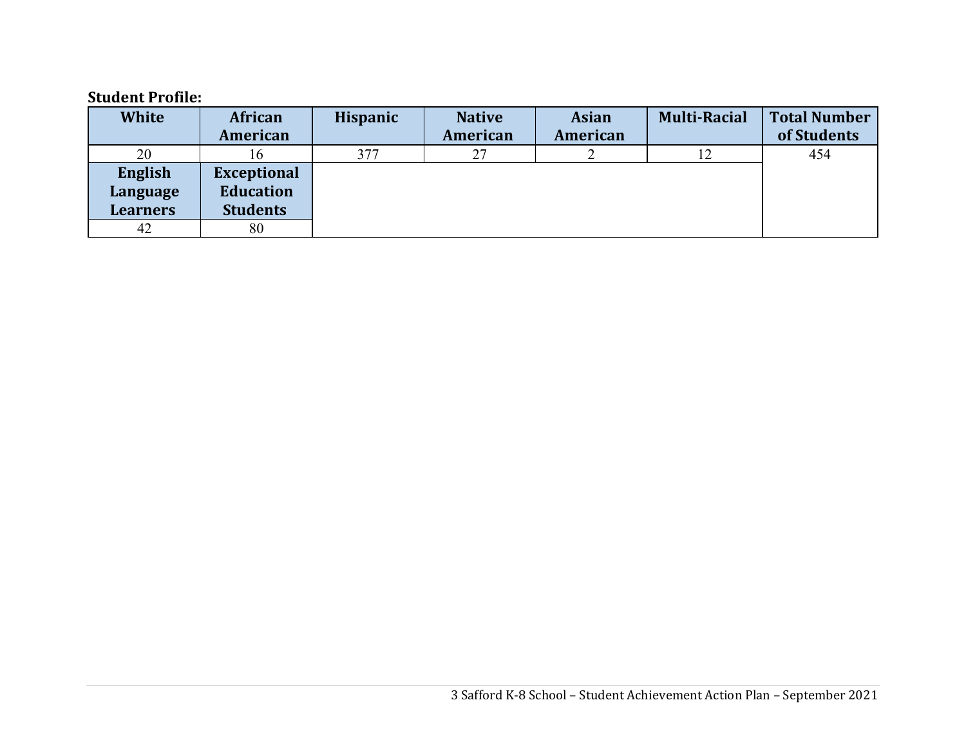## **Student Profile:**

| <b>White</b>    | African            | <b>Hispanic</b> | <b>Native</b> | <b>Asian</b> | <b>Multi-Racial</b> | <b>Total Number</b> |
|-----------------|--------------------|-----------------|---------------|--------------|---------------------|---------------------|
|                 | American           |                 | American      | American     |                     | of Students         |
| 20              | ი                  | 377             | 27            |              | 12                  | 454                 |
| English         | <b>Exceptional</b> |                 |               |              |                     |                     |
| Language        | <b>Education</b>   |                 |               |              |                     |                     |
| <b>Learners</b> | <b>Students</b>    |                 |               |              |                     |                     |
| 42              | 80                 |                 |               |              |                     |                     |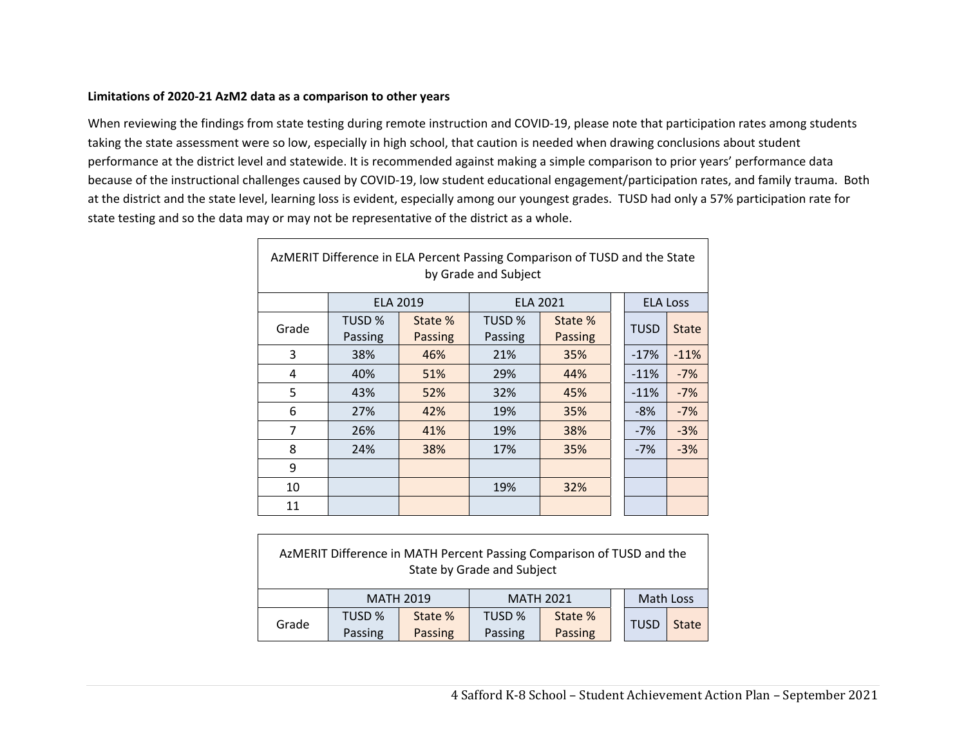### **Limitations of 2020‐21 AzM2 data as a comparison to other years**

 $\Gamma$ 

When reviewing the findings from state testing during remote instruction and COVID‐19, please note that participation rates among students taking the state assessment were so low, especially in high school, that caution is needed when drawing conclusions about student performance at the district level and statewide. It is recommended against making a simple comparison to prior years' performance data because of the instructional challenges caused by COVID‐19, low student educational engagement/participation rates, and family trauma. Both at the district and the state level, learning loss is evident, especially among our youngest grades. TUSD had only a 57% participation rate for state testing and so the data may or may not be representative of the district as a whole.

| AzMERIT Difference in ELA Percent Passing Comparison of TUSD and the State<br>by Grade and Subject |         |                 |                 |                |  |                 |              |  |  |
|----------------------------------------------------------------------------------------------------|---------|-----------------|-----------------|----------------|--|-----------------|--------------|--|--|
|                                                                                                    |         | <b>ELA 2019</b> | <b>ELA 2021</b> |                |  | <b>ELA Loss</b> |              |  |  |
| Grade                                                                                              | TUSD %  | State %         | TUSD %          | State %        |  | <b>TUSD</b>     | <b>State</b> |  |  |
|                                                                                                    | Passing | <b>Passing</b>  | Passing         | <b>Passing</b> |  |                 |              |  |  |
| 3                                                                                                  | 38%     | 46%             | 21%             | 35%            |  | $-17%$          | $-11%$       |  |  |
| 4                                                                                                  | 40%     | 51%             | 29%             | 44%            |  | $-11%$          | $-7%$        |  |  |
| 5                                                                                                  | 43%     | 52%             | 32%             | 45%            |  | $-11%$          | $-7%$        |  |  |
| 6                                                                                                  | 27%     | 42%             | 19%             | 35%            |  | $-8%$           | $-7%$        |  |  |
| $\overline{7}$                                                                                     | 26%     | 41%             | 19%             | 38%            |  | $-7%$           | $-3%$        |  |  |
| 8                                                                                                  | 24%     | 38%             | 17%             | 35%            |  | $-7%$           | $-3%$        |  |  |
| 9                                                                                                  |         |                 |                 |                |  |                 |              |  |  |
| 10                                                                                                 |         |                 | 19%             | 32%            |  |                 |              |  |  |
| 11                                                                                                 |         |                 |                 |                |  |                 |              |  |  |

| AzMERIT Difference in MATH Percent Passing Comparison of TUSD and the<br>State by Grade and Subject |         |                  |         |                               |  |             |              |  |  |
|-----------------------------------------------------------------------------------------------------|---------|------------------|---------|-------------------------------|--|-------------|--------------|--|--|
|                                                                                                     |         | <b>MATH 2019</b> |         | Math Loss<br><b>MATH 2021</b> |  |             |              |  |  |
| Grade                                                                                               | TUSD %  | State %          | TUSD %  | State %                       |  | <b>TUSD</b> | <b>State</b> |  |  |
|                                                                                                     | Passing | Passing          | Passing | Passing                       |  |             |              |  |  |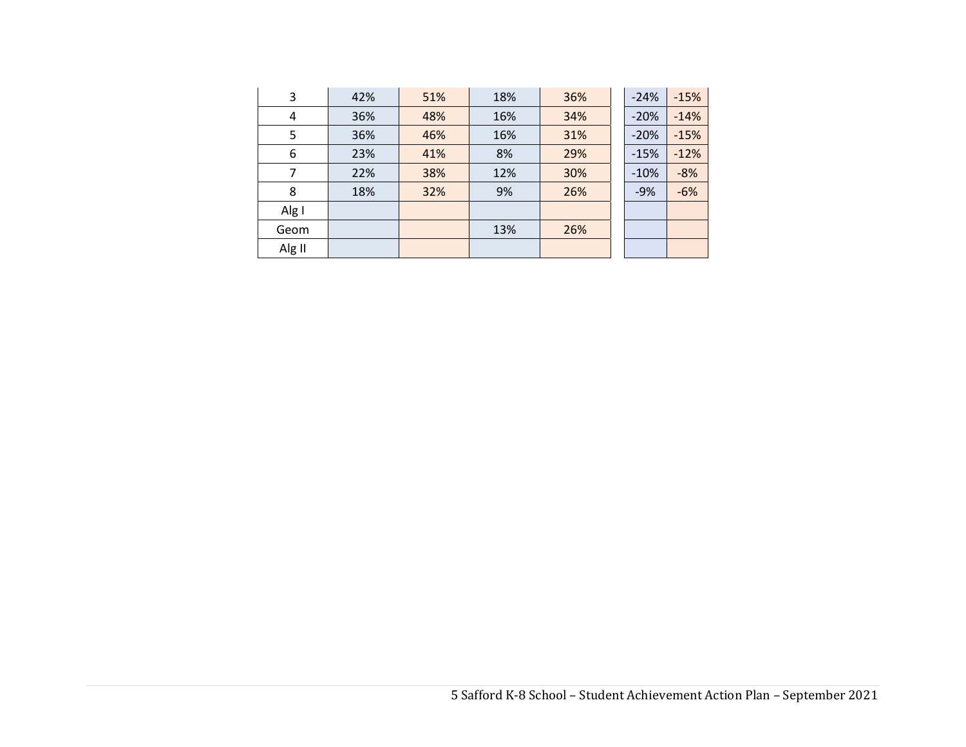| 3      | 42% | 51% | 18% | 36% | $-24%$ | $-15%$ |
|--------|-----|-----|-----|-----|--------|--------|
| 4      | 36% | 48% | 16% | 34% | $-20%$ | $-14%$ |
| 5      | 36% | 46% | 16% | 31% | $-20%$ | $-15%$ |
| 6      | 23% | 41% | 8%  | 29% | $-15%$ | $-12%$ |
| 7      | 22% | 38% | 12% | 30% | $-10%$ | $-8%$  |
| 8      | 18% | 32% | 9%  | 26% | $-9%$  | $-6%$  |
| Alg I  |     |     |     |     |        |        |
| Geom   |     |     | 13% | 26% |        |        |
| Alg II |     |     |     |     |        |        |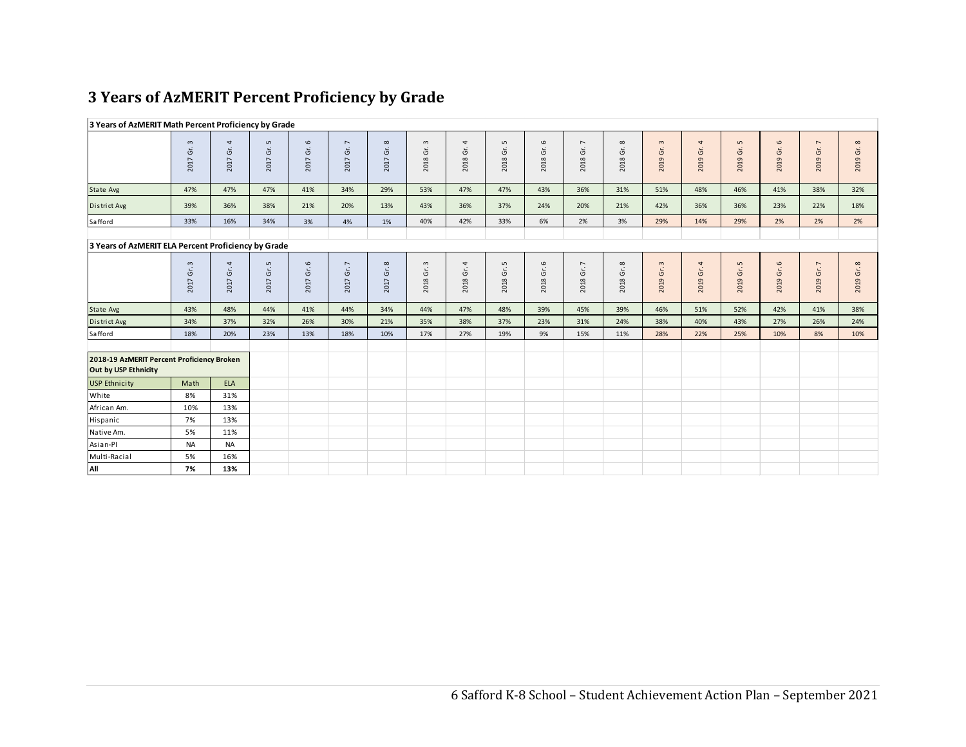# **3 Years of AzMERIT Percent Proficiency by Grade**

| 3 Years of AzMERIT Math Percent Proficiency by Grade               |                                                     |                                          |                                    |                                            |                                      |                                            |                          |                                      |                                    |                              |                                         |                      |                            |               |                                    |                     |                                      |                                     |
|--------------------------------------------------------------------|-----------------------------------------------------|------------------------------------------|------------------------------------|--------------------------------------------|--------------------------------------|--------------------------------------------|--------------------------|--------------------------------------|------------------------------------|------------------------------|-----------------------------------------|----------------------|----------------------------|---------------|------------------------------------|---------------------|--------------------------------------|-------------------------------------|
|                                                                    | $\mathsf{m}$<br>2017 Gr.                            | 4<br>2017 Gr.                            | L<br>2017 Gr.                      | $\circ$<br>$\mathsf{G}^\mathsf{r}$<br>2017 | $\overline{\phantom{a}}$<br>2017 Gr. | $\infty$<br>2017 Gr.                       | $\mathsf{c}$<br>2018 Gr. | $\overline{\mathcal{A}}$<br>2018 Gr. | $\mathsf{L}$<br>2018 Gr.           | $\mathbf \omega$<br>2018 Gr. | $\overline{\phantom{a}}$<br>2018 Gr.    | $\infty$<br>2018 Gr. | $\mathfrak{m}$<br>2019 Gr. | 4<br>2019 Gr. | $\mathsf{L}$<br>2019 Gr.           | $\circ$<br>2019 Gr. | $\overline{\phantom{a}}$<br>2019 Gr. | $\infty$<br>2019 Gr.                |
| State Avg                                                          | 47%                                                 | 47%                                      | 47%                                | 41%                                        | 34%                                  | 29%                                        | 53%                      | 47%                                  | 47%                                | 43%                          | 36%                                     | 31%                  | 51%                        | 48%           | 46%                                | 41%                 | 38%                                  | 32%                                 |
| District Avg                                                       | 39%                                                 | 36%                                      | 38%                                | 21%                                        | 20%                                  | 13%                                        | 43%                      | 36%                                  | 37%                                | 24%                          | 20%                                     | 21%                  | 42%                        | 36%           | 36%                                | 23%                 | 22%                                  | 18%                                 |
| Safford                                                            | 33%                                                 | 16%                                      | 34%                                | 3%                                         | 4%                                   | 1%                                         | 40%                      | 42%                                  | 33%                                | 6%                           | 2%                                      | 3%                   | 29%                        | 14%           | 29%                                | 2%                  | 2%                                   | 2%                                  |
|                                                                    | 3 Years of AzMERIT ELA Percent Proficiency by Grade |                                          |                                    |                                            |                                      |                                            |                          |                                      |                                    |                              |                                         |                      |                            |               |                                    |                     |                                      |                                     |
|                                                                    | $\sim$<br>2017 Gr.                                  | $\overline{4}$<br>$\mathsf{G}$ .<br>2017 | $\mathsf{L}\mathsf{D}$<br>2017 Gr. | $\mathbf{\sigma}$<br>Gr.<br>2017           | 2017 Gr. 7                           | $\infty$<br>$\tilde{\mathfrak{s}}$<br>2017 | $\mathsf{c}$<br>2018 Gr. | $\overline{\mathcal{A}}$<br>2018 Gr. | $\mathsf{L}\mathsf{D}$<br>2018 Gr. | $\circ$<br>2018 Gr.          | $\overline{\phantom{a}}$<br>Ġŕ.<br>2018 | 2018 Gr. 8           | $\mathfrak{m}$<br>2019 Gr. | 4<br>2019 Gr. | $\mathsf{L}\mathsf{D}$<br>2019 Gr. | 2019 Gr. 6          | $\overline{\phantom{a}}$<br>2019 Gr. | $\infty$<br>$\ddot{\sigma}$<br>2019 |
| State Avg                                                          | 43%                                                 | 48%                                      | 44%                                | 41%                                        | 44%                                  | 34%                                        | 44%                      | 47%                                  | 48%                                | 39%                          | 45%                                     | 39%                  | 46%                        | 51%           | 52%                                | 42%                 | 41%                                  | 38%                                 |
| District Avg                                                       | 34%                                                 | 37%                                      | 32%                                | 26%                                        | 30%                                  | 21%                                        | 35%                      | 38%                                  | 37%                                | 23%                          | 31%                                     | 24%                  | 38%                        | 40%           | 43%                                | 27%                 | 26%                                  | 24%                                 |
| Safford                                                            | 18%                                                 | 20%                                      | 23%                                | 13%                                        | 18%                                  | 10%                                        | 17%                      | 27%                                  | 19%                                | 9%                           | 15%                                     | 11%                  | 28%                        | 22%           | 25%                                | 10%                 | 8%                                   | 10%                                 |
| 2018-19 AzMERIT Percent Proficiency Broken<br>Out by USP Ethnicity |                                                     |                                          |                                    |                                            |                                      |                                            |                          |                                      |                                    |                              |                                         |                      |                            |               |                                    |                     |                                      |                                     |
| <b>USP Ethnicity</b>                                               | Math                                                | <b>ELA</b>                               |                                    |                                            |                                      |                                            |                          |                                      |                                    |                              |                                         |                      |                            |               |                                    |                     |                                      |                                     |
| White                                                              | 8%                                                  | 31%                                      |                                    |                                            |                                      |                                            |                          |                                      |                                    |                              |                                         |                      |                            |               |                                    |                     |                                      |                                     |
| African Am.                                                        | 10%                                                 | 13%                                      |                                    |                                            |                                      |                                            |                          |                                      |                                    |                              |                                         |                      |                            |               |                                    |                     |                                      |                                     |
| Hispanic                                                           | 7%                                                  | 13%                                      |                                    |                                            |                                      |                                            |                          |                                      |                                    |                              |                                         |                      |                            |               |                                    |                     |                                      |                                     |
| Native Am.                                                         | 5%                                                  | 11%                                      |                                    |                                            |                                      |                                            |                          |                                      |                                    |                              |                                         |                      |                            |               |                                    |                     |                                      |                                     |
| Asian-Pl                                                           | <b>NA</b>                                           | <b>NA</b>                                |                                    |                                            |                                      |                                            |                          |                                      |                                    |                              |                                         |                      |                            |               |                                    |                     |                                      |                                     |
| Multi-Racial                                                       | 5%                                                  | 16%                                      |                                    |                                            |                                      |                                            |                          |                                      |                                    |                              |                                         |                      |                            |               |                                    |                     |                                      |                                     |
| All                                                                | 7%                                                  | 13%                                      |                                    |                                            |                                      |                                            |                          |                                      |                                    |                              |                                         |                      |                            |               |                                    |                     |                                      |                                     |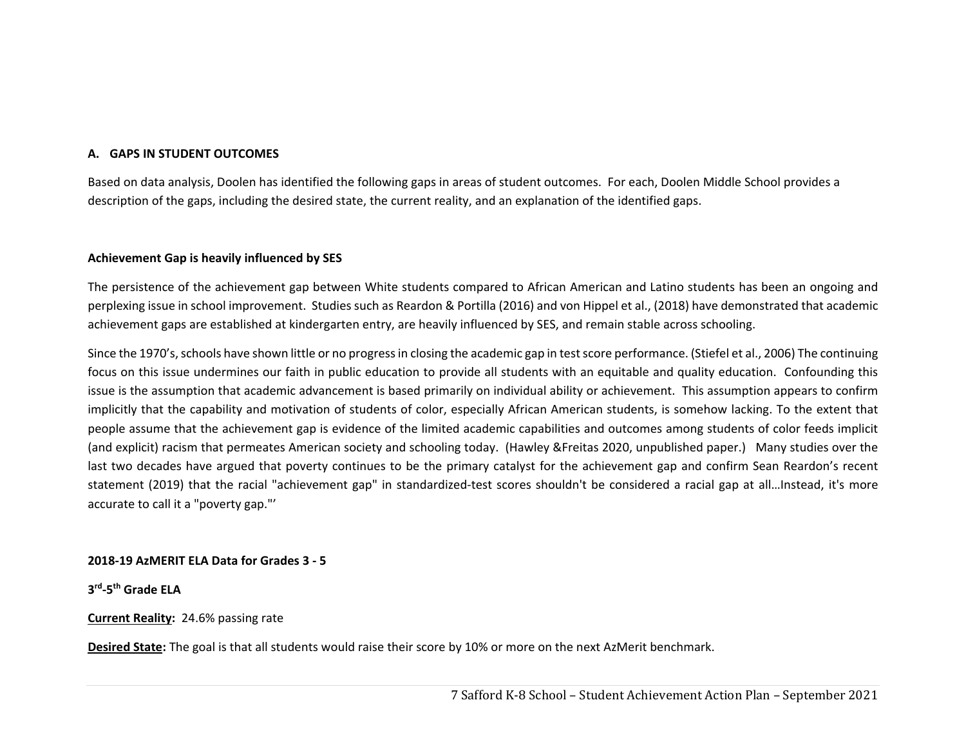### **A. GAPS IN STUDENT OUTCOMES**

Based on data analysis, Doolen has identified the following gaps in areas of student outcomes. For each, Doolen Middle School provides a description of the gaps, including the desired state, the current reality, and an explanation of the identified gaps.

#### **Achievement Gap is heavily influenced by SES**

The persistence of the achievement gap between White students compared to African American and Latino students has been an ongoing and perplexing issue in school improvement. Studies such as Reardon & Portilla (2016) and von Hippel et al., (2018) have demonstrated that academic achievement gaps are established at kindergarten entry, are heavily influenced by SES, and remain stable across schooling.

Since the 1970's, schools have shown little or no progress in closing the academic gap in test score performance. (Stiefel et al., 2006) The continuing focus on this issue undermines our faith in public education to provide all students with an equitable and quality education. Confounding this issue is the assumption that academic advancement is based primarily on individual ability or achievement. This assumption appears to confirm implicitly that the capability and motivation of students of color, especially African American students, is somehow lacking. To the extent that people assume that the achievement gap is evidence of the limited academic capabilities and outcomes among students of color feeds implicit (and explicit) racism that permeates American society and schooling today. (Hawley &Freitas 2020, unpublished paper.) Many studies over the last two decades have argued that poverty continues to be the primary catalyst for the achievement gap and confirm Sean Reardon's recent statement (2019) that the racial "achievement gap" in standardized-test scores shouldn't be considered a racial gap at all...Instead, it's more accurate to call it a "poverty gap."'

#### **2018‐19 AzMERIT ELA Data for Grades 3 ‐ 5**

#### **3rd‐5th Grade ELA**

#### **Current Reality:** 24.6% passing rate

**Desired State:** The goal is that all students would raise their score by 10% or more on the next AzMerit benchmark.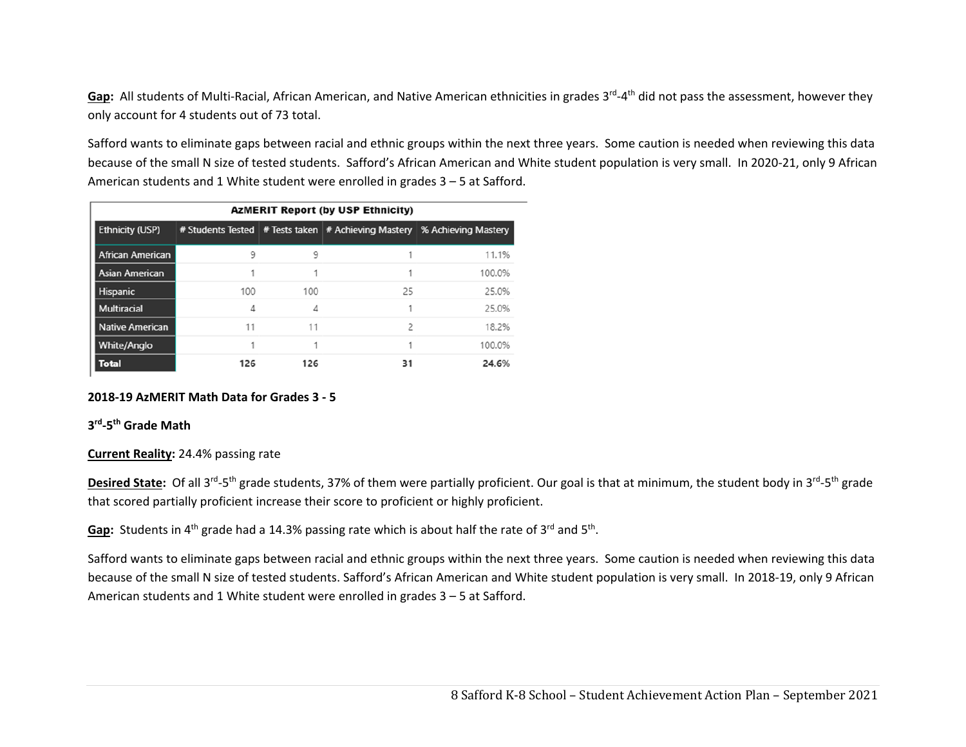Gap: All students of Multi-Racial, African American, and Native American ethnicities in grades 3<sup>rd</sup>-4<sup>th</sup> did not pass the assessment, however they only account for 4 students out of 73 total.

Safford wants to eliminate gaps between racial and ethnic groups within the next three years. Some caution is needed when reviewing this data because of the small N size of tested students. Safford's African American and White student population is very small. In 2020‐21, only 9 African American students and 1 White student were enrolled in grades 3 – 5 at Safford.

|                         |     |     | <b>AzMERIT Report (by USP Ethnicity)</b> |                                                                             |
|-------------------------|-----|-----|------------------------------------------|-----------------------------------------------------------------------------|
| <b>Ethnicity (USP)</b>  |     |     |                                          | # Students Tested   # Tests taken   # Achieving Mastery % Achieving Mastery |
| <b>African American</b> | 9   | 9   |                                          | 11.1%                                                                       |
| <b>Asian American</b>   |     |     |                                          | 100.0%                                                                      |
| <b>Hispanic</b>         | 100 | 100 | 25                                       | 25.0%                                                                       |
| <b>Multiracial</b>      | 4   | 4   |                                          | 25.0%                                                                       |
| <b>Native American</b>  | 11  | 11  | 2                                        | 18.2%                                                                       |
| <b>White/Anglo</b>      |     |     | 1                                        | 100.0%                                                                      |
| <b>Total</b>            | 126 | 126 | 31                                       | 24.6%                                                                       |

### **2018‐19 AzMERIT Math Data for Grades 3 ‐ 5**

#### **3rd‐5th Grade Math**

#### **Current Reality:** 24.4% passing rate

Desired State: Of all 3<sup>rd</sup>-5<sup>th</sup> grade students, 37% of them were partially proficient. Our goal is that at minimum, the student body in 3<sup>rd</sup>-5<sup>th</sup> grade that scored partially proficient increase their score to proficient or highly proficient.

Gap: Students in 4<sup>th</sup> grade had a 14.3% passing rate which is about half the rate of 3<sup>rd</sup> and 5<sup>th</sup>.

Safford wants to eliminate gaps between racial and ethnic groups within the next three years. Some caution is needed when reviewing this data because of the small N size of tested students. Safford's African American and White student population is very small. In 2018‐19, only 9 African American students and 1 White student were enrolled in grades 3 – 5 at Safford.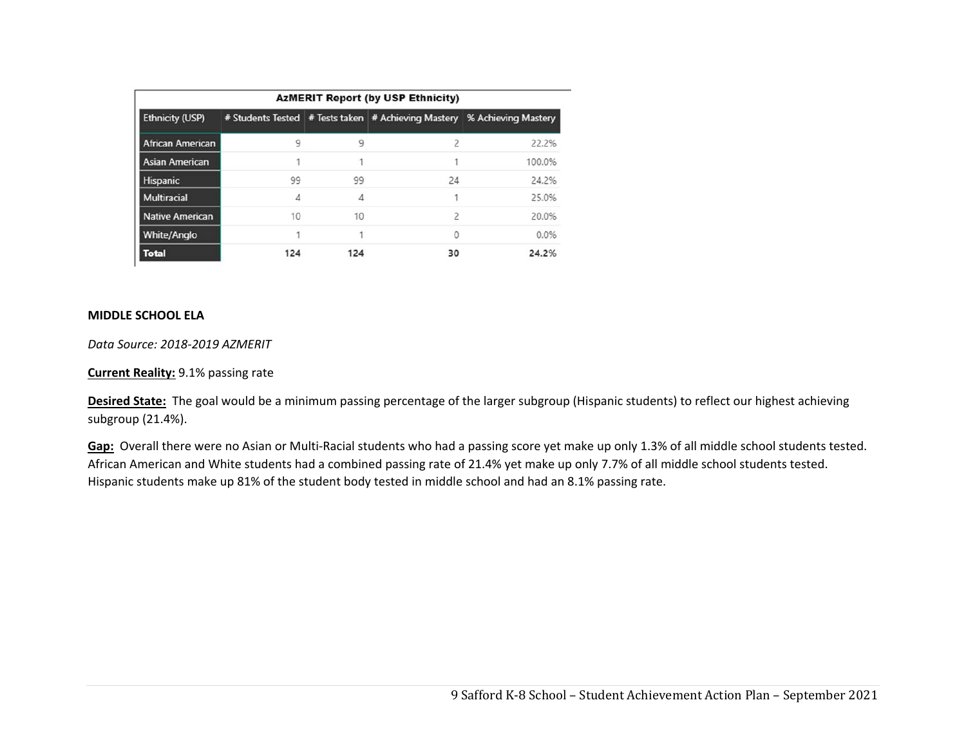| <b>AzMERIT Report (by USP Ethnicity)</b> |     |     |                                                                           |        |  |  |  |  |
|------------------------------------------|-----|-----|---------------------------------------------------------------------------|--------|--|--|--|--|
| <b>Ethnicity (USP)</b>                   |     |     | # Students Tested # Tests taken   # Achieving Mastery % Achieving Mastery |        |  |  |  |  |
| <b>African American</b>                  | 9   | 9   | $\mathcal{P}$                                                             | 22.2%  |  |  |  |  |
| <b>Asian American</b>                    |     |     |                                                                           | 100.0% |  |  |  |  |
| Hispanic                                 | 99  | 99  | 24                                                                        | 24.2%  |  |  |  |  |
| <b>Multiracial</b>                       | Δ   | Δ   |                                                                           | 25.0%  |  |  |  |  |
| <b>Native American</b>                   | 10  | 10  | $\overline{c}$                                                            | 20.0%  |  |  |  |  |
| <b>White/Anglo</b>                       |     |     | $\Omega$                                                                  | 0.0%   |  |  |  |  |
| <b>Total</b>                             | 124 | 124 | 30                                                                        | 24.2%  |  |  |  |  |

### **MIDDLE SCHOOL ELA**

*Data Source: 2018‐2019 AZMERIT* 

**Current Reality:** 9.1% passing rate

Desired State: The goal would be a minimum passing percentage of the larger subgroup (Hispanic students) to reflect our highest achieving subgroup (21.4%).

Gap: Overall there were no Asian or Multi-Racial students who had a passing score yet make up only 1.3% of all middle school students tested. African American and White students had a combined passing rate of 21.4% yet make up only 7.7% of all middle school students tested. Hispanic students make up 81% of the student body tested in middle school and had an 8.1% passing rate.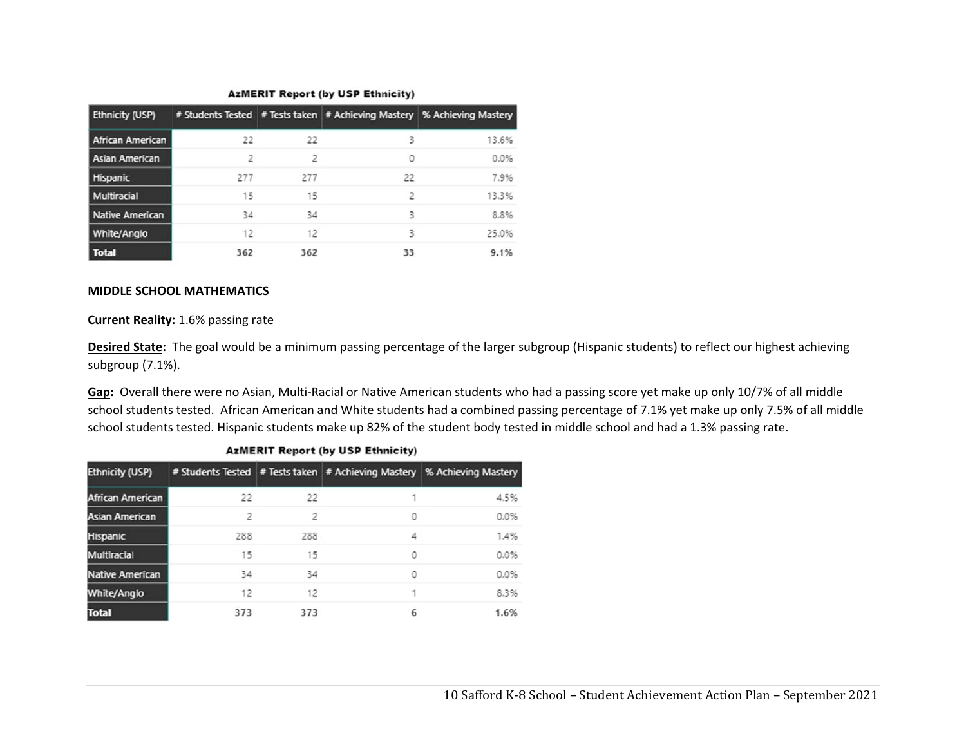#### **AzMERIT Report (by USP Ethnicity)**

| <b>Ethnicity (USP)</b> |     |     |    | # Students Tested   # Tests taken   # Achieving Mastery   % Achieving Mastery |
|------------------------|-----|-----|----|-------------------------------------------------------------------------------|
| African American       | 22  | 22  | ξ  | 13.6%                                                                         |
| Asian American         | 2   |     | 0  | 0.0%                                                                          |
| <b>Hispanic</b>        | 277 | 277 | 22 | 7.9%                                                                          |
| Multiracial            | 15  | 15  |    | 13.3%                                                                         |
| Native American        | 34  | 34  | 3  | 8.8%                                                                          |
| White/Anglo            | 12  | 12  | 3  | 25.0%                                                                         |
| <b>Total</b>           | 362 | 362 | 33 | 9.1%                                                                          |

#### **MIDDLE SCHOOL MATHEMATICS**

#### **Current Reality:** 1.6% passing rate

**Desired State:** The goal would be a minimum passing percentage of the larger subgroup (Hispanic students) to reflect our highest achieving subgroup (7.1%).

**Gap:** Overall there were no Asian, Multi‐Racial or Native American students who had a passing score yet make up only 10/7% of all middle school students tested. African American and White students had a combined passing percentage of 7.1% yet make up only 7.5% of all middle school students tested. Hispanic students make up 82% of the student body tested in middle school and had a 1.3% passing rate.

| <b>Ethnicity (USP)</b> |     |                          |   | # Students Tested   # Tests taken   # Achieving Mastery   % Achieving Mastery |  |  |  |  |  |
|------------------------|-----|--------------------------|---|-------------------------------------------------------------------------------|--|--|--|--|--|
| African American       | 22  | 22                       |   | 4.5%                                                                          |  |  |  |  |  |
| <b>Asian American</b>  | 2   | $\overline{\phantom{a}}$ | 0 | 0.0%                                                                          |  |  |  |  |  |
| <b>Hispanic</b>        | 288 | 288                      | 4 | 1.4%                                                                          |  |  |  |  |  |
| <b>Multiracial</b>     | 15  | 15                       | 0 | 0.0%                                                                          |  |  |  |  |  |
| <b>Native American</b> | 34  | 34                       | 0 | 0.0%                                                                          |  |  |  |  |  |
| White/Anglo            | 12  | 12                       |   | 8.3%                                                                          |  |  |  |  |  |
| <b>Total</b>           | 373 | 373                      | 6 | 1.6%                                                                          |  |  |  |  |  |

#### **AzMERIT Report (by USP Ethnicity)**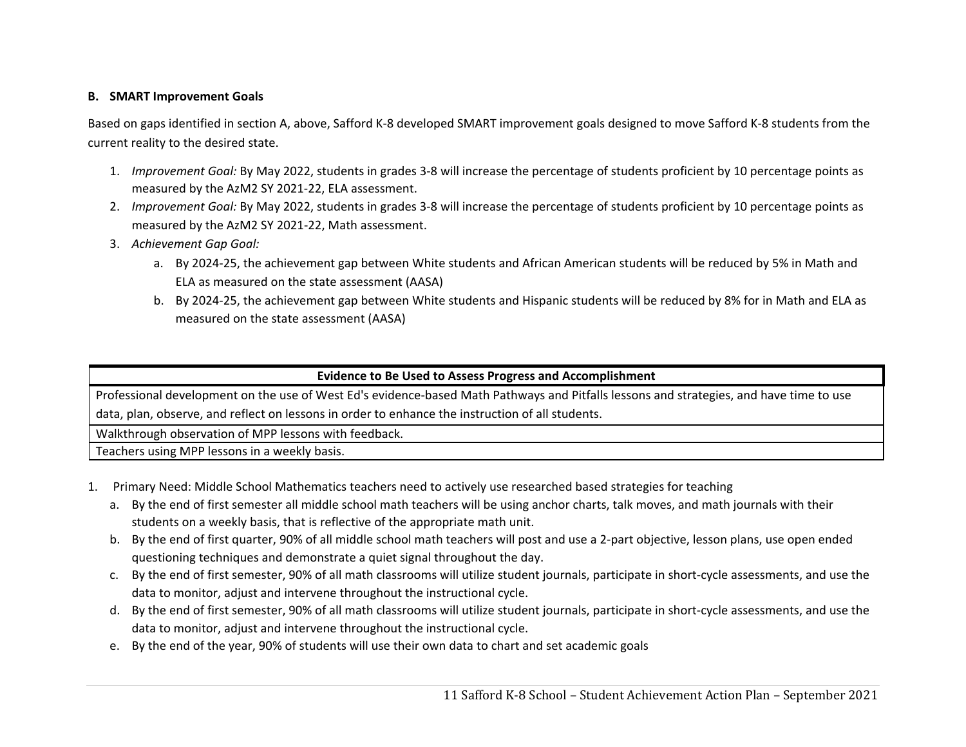### **B. SMART Improvement Goals**

Based on gaps identified in section A, above, Safford K‐8 developed SMART improvement goals designed to move Safford K‐8 students from the current reality to the desired state.

- 1. *Improvement Goal:* By May 2022, students in grades 3‐8 will increase the percentage of students proficient by 10 percentage points as measured by the AzM2 SY 2021‐22, ELA assessment.
- 2. *Improvement Goal:* By May 2022, students in grades 3‐8 will increase the percentage of students proficient by 10 percentage points as measured by the AzM2 SY 2021‐22, Math assessment.
- 3. *Achievement Gap Goal:* 
	- a. By 2024‐25, the achievement gap between White students and African American students will be reduced by 5% in Math and ELA as measured on the state assessment (AASA)
	- b. By 2024‐25, the achievement gap between White students and Hispanic students will be reduced by 8% for in Math and ELA as measured on the state assessment (AASA)

### **Evidence to Be Used to Assess Progress and Accomplishment**

Professional development on the use of West Ed's evidence‐based Math Pathways and Pitfalls lessons and strategies, and have time to use data, plan, observe, and reflect on lessons in order to enhance the instruction of all students.

Walkthrough observation of MPP lessons with feedback.

Teachers using MPP lessons in a weekly basis.

- 1. Primary Need: Middle School Mathematics teachers need to actively use researched based strategies for teaching
	- a. By the end of first semester all middle school math teachers will be using anchor charts, talk moves, and math journals with their students on a weekly basis, that is reflective of the appropriate math unit.
	- b. By the end of first quarter, 90% of all middle school math teachers will post and use a 2‐part objective, lesson plans, use open ended questioning techniques and demonstrate a quiet signal throughout the day.
	- c. By the end of first semester, 90% of all math classrooms will utilize student journals, participate in short‐cycle assessments, and use the data to monitor, adjust and intervene throughout the instructional cycle.
	- d. By the end of first semester, 90% of all math classrooms will utilize student journals, participate in short‐cycle assessments, and use the data to monitor, adjust and intervene throughout the instructional cycle.
	- e. By the end of the year, 90% of students will use their own data to chart and set academic goals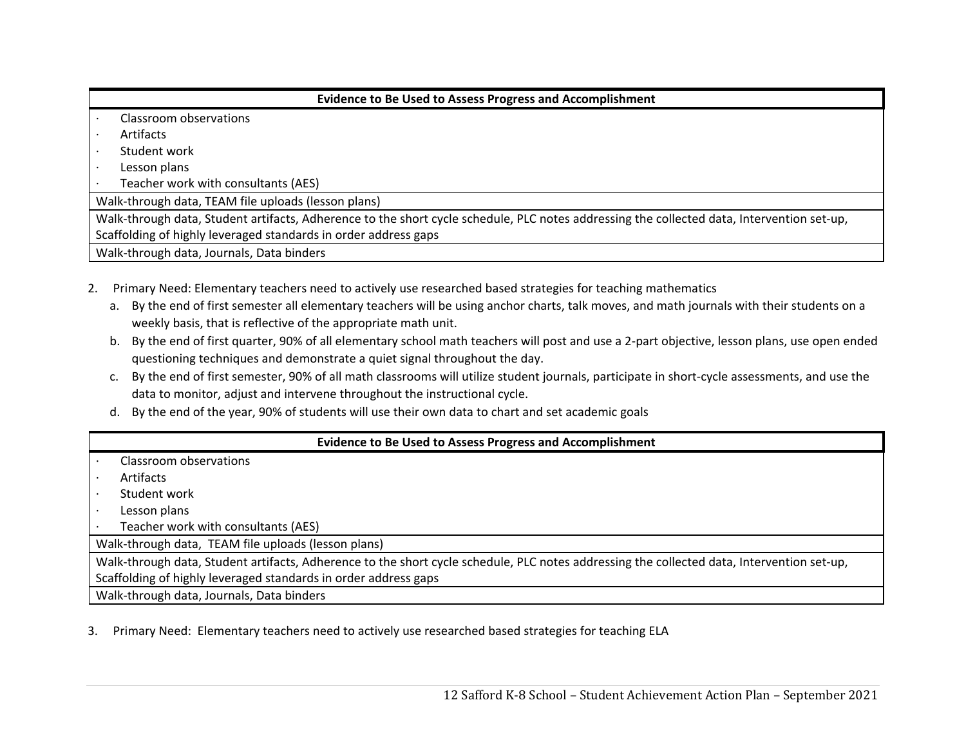| <b>Evidence to Be Used to Assess Progress and Accomplishment</b>                                                                           |  |  |  |  |  |  |  |
|--------------------------------------------------------------------------------------------------------------------------------------------|--|--|--|--|--|--|--|
| Classroom observations                                                                                                                     |  |  |  |  |  |  |  |
| Artifacts                                                                                                                                  |  |  |  |  |  |  |  |
| Student work                                                                                                                               |  |  |  |  |  |  |  |
| Lesson plans                                                                                                                               |  |  |  |  |  |  |  |
| Teacher work with consultants (AES)                                                                                                        |  |  |  |  |  |  |  |
| Walk-through data, TEAM file uploads (lesson plans)                                                                                        |  |  |  |  |  |  |  |
| Walk-through data, Student artifacts, Adherence to the short cycle schedule, PLC notes addressing the collected data, Intervention set-up, |  |  |  |  |  |  |  |
| Scaffolding of highly leveraged standards in order address gaps                                                                            |  |  |  |  |  |  |  |
| Walk-through data, Journals, Data binders                                                                                                  |  |  |  |  |  |  |  |

- 2. Primary Need: Elementary teachers need to actively use researched based strategies for teaching mathematics
	- a. By the end of first semester all elementary teachers will be using anchor charts, talk moves, and math journals with their students on a weekly basis, that is reflective of the appropriate math unit.
	- b. By the end of first quarter, 90% of all elementary school math teachers will post and use a 2‐part objective, lesson plans, use open ended questioning techniques and demonstrate a quiet signal throughout the day.
	- c. By the end of first semester, 90% of all math classrooms will utilize student journals, participate in short‐cycle assessments, and use the data to monitor, adjust and intervene throughout the instructional cycle.
	- d. By the end of the year, 90% of students will use their own data to chart and set academic goals

### **Evidence to Be Used to Assess Progress and Accomplishment**

- ∙ Classroom observations
- ∙ Artifacts
- ∙ Student work
- ∙ Lesson plans
- ∙ Teacher work with consultants (AES)

Walk‐through data, TEAM file uploads (lesson plans)

Walk-through data, Student artifacts, Adherence to the short cycle schedule, PLC notes addressing the collected data, Intervention set-up, Scaffolding of highly leveraged standards in order address gaps

Walk‐through data, Journals, Data binders

3. Primary Need: Elementary teachers need to actively use researched based strategies for teaching ELA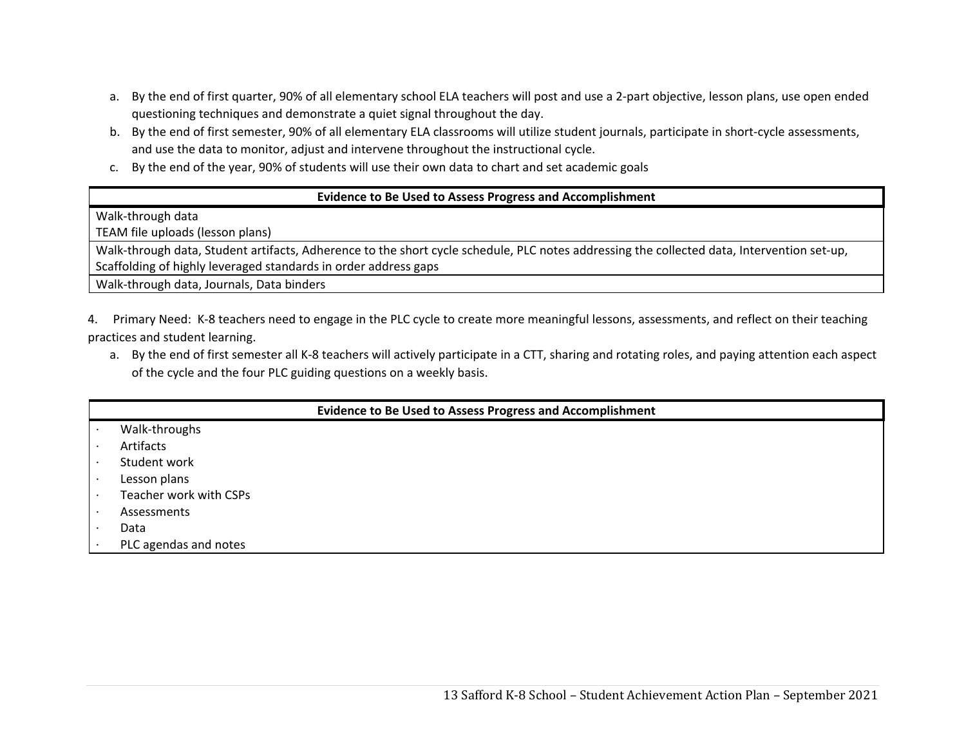- a. By the end of first quarter, 90% of all elementary school ELA teachers will post and use a 2‐part objective, lesson plans, use open ended questioning techniques and demonstrate a quiet signal throughout the day.
- b. By the end of first semester, 90% of all elementary ELA classrooms will utilize student journals, participate in short‐cycle assessments, and use the data to monitor, adjust and intervene throughout the instructional cycle.
- c. By the end of the year, 90% of students will use their own data to chart and set academic goals

### **Evidence to Be Used to Assess Progress and Accomplishment**

Walk‐through data

TEAM file uploads (lesson plans)

Walk-through data, Student artifacts, Adherence to the short cycle schedule, PLC notes addressing the collected data, Intervention set-up, Scaffolding of highly leveraged standards in order address gaps

Walk‐through data, Journals, Data binders

4. Primary Need: K-8 teachers need to engage in the PLC cycle to create more meaningful lessons, assessments, and reflect on their teaching practices and student learning.

a. By the end of first semester all K‐8 teachers will actively participate in a CTT, sharing and rotating roles, and paying attention each aspect of the cycle and the four PLC guiding questions on a weekly basis.

| <b>Evidence to Be Used to Assess Progress and Accomplishment</b> |  |  |  |  |  |  |  |
|------------------------------------------------------------------|--|--|--|--|--|--|--|
| Walk-throughs                                                    |  |  |  |  |  |  |  |
| Artifacts                                                        |  |  |  |  |  |  |  |
| Student work                                                     |  |  |  |  |  |  |  |
| Lesson plans                                                     |  |  |  |  |  |  |  |
| Teacher work with CSPs                                           |  |  |  |  |  |  |  |
| Assessments                                                      |  |  |  |  |  |  |  |
| Data                                                             |  |  |  |  |  |  |  |
| PLC agendas and notes                                            |  |  |  |  |  |  |  |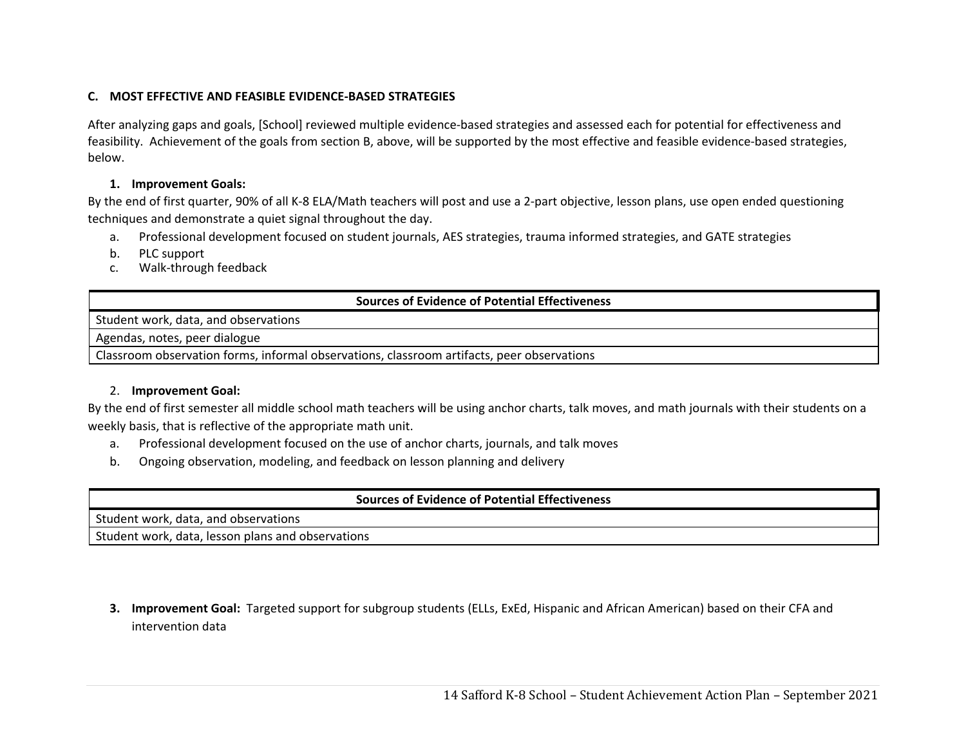### **C. MOST EFFECTIVE AND FEASIBLE EVIDENCE‐BASED STRATEGIES**

After analyzing gaps and goals, [School] reviewed multiple evidence‐based strategies and assessed each for potential for effectiveness and feasibility. Achievement of the goals from section B, above, will be supported by the most effective and feasible evidence‐based strategies, below.

### **1. Improvement Goals:**

By the end of first quarter, 90% of all K‐8 ELA/Math teachers will post and use a 2‐part objective, lesson plans, use open ended questioning techniques and demonstrate a quiet signal throughout the day.

- a. Professional development focused on student journals, AES strategies, trauma informed strategies, and GATE strategies
- b.PLC support
- c.Walk‐through feedback

### **Sources of Evidence of Potential Effectiveness**

Student work, data, and observations

Agendas, notes, peer dialogue

Classroom observation forms, informal observations, classroom artifacts, peer observations

### 2. **Improvement Goal:**

By the end of first semester all middle school math teachers will be using anchor charts, talk moves, and math journals with their students on a weekly basis, that is reflective of the appropriate math unit.

- a.Professional development focused on the use of anchor charts, journals, and talk moves
- b.Ongoing observation, modeling, and feedback on lesson planning and delivery

| <b>Sources of Evidence of Potential Effectiveness</b> |  |  |  |
|-------------------------------------------------------|--|--|--|
| Student work, data, and observations                  |  |  |  |
| Student work, data, lesson plans and observations     |  |  |  |
|                                                       |  |  |  |

**3. Improvement Goal:** Targeted support for subgroup students (ELLs, ExEd, Hispanic and African American) based on their CFA and intervention data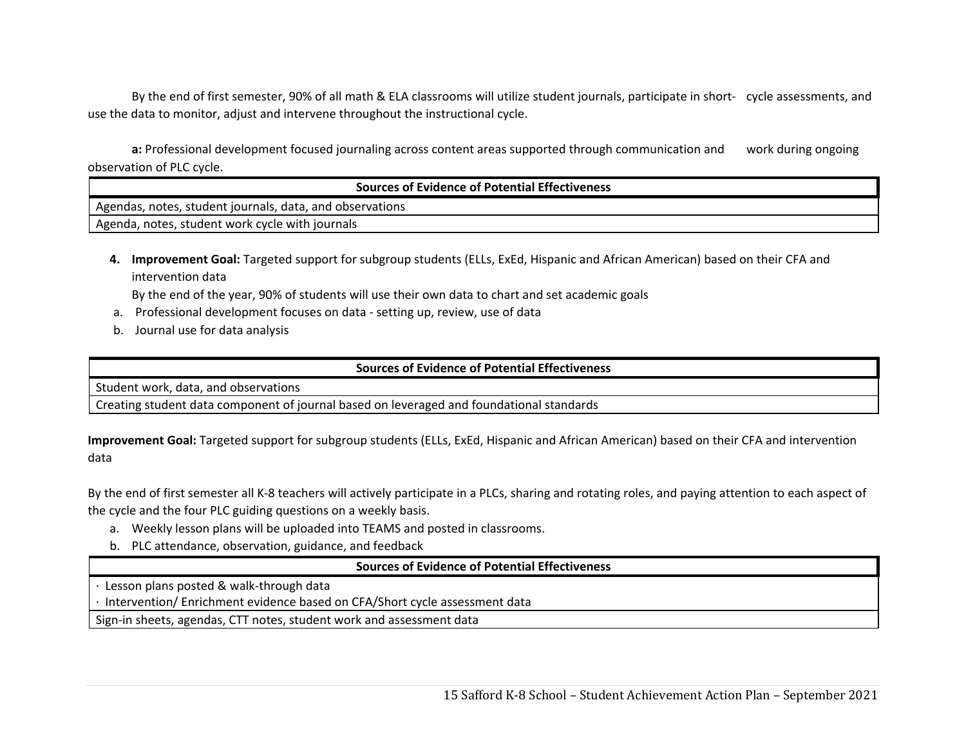By the end of first semester, 90% of all math & ELA classrooms will utilize student journals, participate in short‐ cycle assessments, and use the data to monitor, adjust and intervene throughout the instructional cycle.

**a:** Professional development focused journaling across content areas supported through communication and work during ongoing observation of PLC cycle.

| <b>Sources of Evidence of Potential Effectiveness</b>      |  |  |
|------------------------------------------------------------|--|--|
| I Agendas, notes, student journals, data, and observations |  |  |
| I Agenda, notes, student work cycle with journals          |  |  |

**4. Improvement Goal:** Targeted support for subgroup students (ELLs, ExEd, Hispanic and African American) based on their CFA and intervention data

By the end of the year, 90% of students will use their own data to chart and set academic goals

- a. Professional development focuses on data ‐ setting up, review, use of data
- b. Journal use for data analysis

### **Sources of Evidence of Potential Effectiveness**

Student work, data, and observations

Creating student data component of journal based on leveraged and foundational standards

**Improvement Goal:** Targeted support for subgroup students (ELLs, ExEd, Hispanic and African American) based on their CFA and intervention data

By the end of first semester all K-8 teachers will actively participate in a PLCs, sharing and rotating roles, and paying attention to each aspect of the cycle and the four PLC guiding questions on a weekly basis.

- a. Weekly lesson plans will be uploaded into TEAMS and posted in classrooms.
- b. PLC attendance, observation, guidance, and feedback

### **Sources of Evidence of Potential Effectiveness**

∙ Lesson plans posted & walk‐through data

∙ Intervention/ Enrichment evidence based on CFA/Short cycle assessment data

Sign-in sheets, agendas, CTT notes, student work and assessment data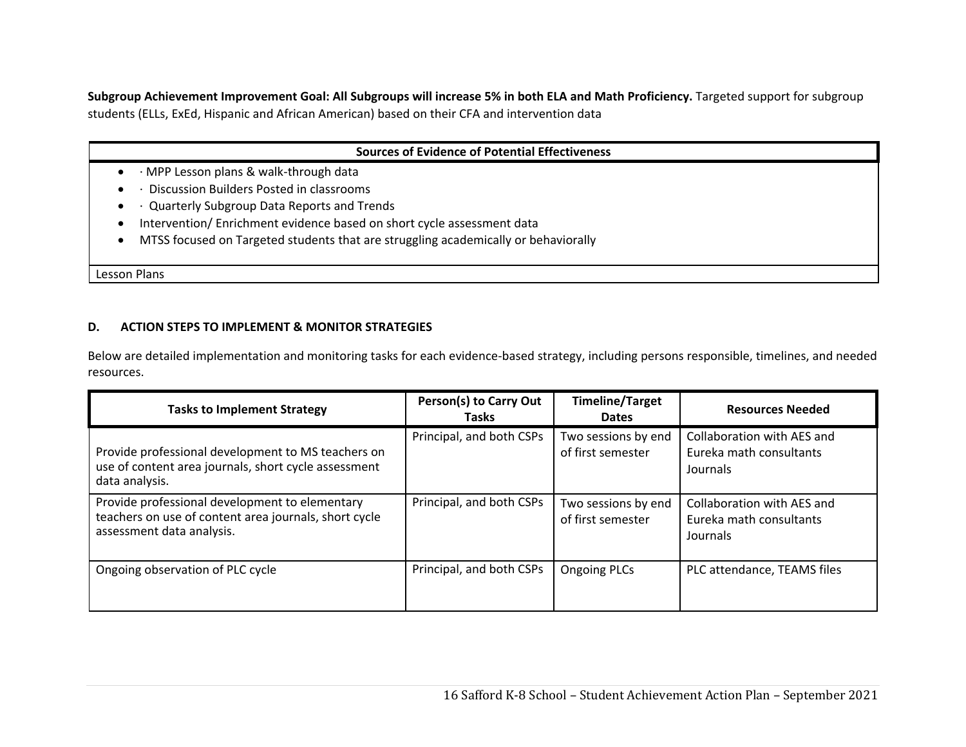**Subgroup Achievement Improvement Goal: All Subgroups will increase 5% in both ELA and Math Proficiency.** Targeted support for subgroup students (ELLs, ExEd, Hispanic and African American) based on their CFA and intervention data

| <b>Sources of Evidence of Potential Effectiveness</b>                              |  |  |
|------------------------------------------------------------------------------------|--|--|
| • $\cdot$ MPP Lesson plans & walk-through data                                     |  |  |
| Discussion Builders Posted in classrooms                                           |  |  |
| . Quarterly Subgroup Data Reports and Trends                                       |  |  |
| Intervention/Enrichment evidence based on short cycle assessment data              |  |  |
| MTSS focused on Targeted students that are struggling academically or behaviorally |  |  |
|                                                                                    |  |  |
| Lesson Plans                                                                       |  |  |

#### **D.ACTION STEPS TO IMPLEMENT & MONITOR STRATEGIES**

Below are detailed implementation and monitoring tasks for each evidence‐based strategy, including persons responsible, timelines, and needed resources.

| <b>Tasks to Implement Strategy</b>                                                                                                   | Person(s) to Carry Out<br><b>Tasks</b> | <b>Timeline/Target</b><br><b>Dates</b>   | <b>Resources Needed</b>                                           |
|--------------------------------------------------------------------------------------------------------------------------------------|----------------------------------------|------------------------------------------|-------------------------------------------------------------------|
| Provide professional development to MS teachers on<br>use of content area journals, short cycle assessment<br>data analysis.         | Principal, and both CSPs               | Two sessions by end<br>of first semester | Collaboration with AES and<br>Eureka math consultants<br>Journals |
| Provide professional development to elementary<br>teachers on use of content area journals, short cycle<br>assessment data analysis. | Principal, and both CSPs               | Two sessions by end<br>of first semester | Collaboration with AES and<br>Eureka math consultants<br>Journals |
| Ongoing observation of PLC cycle                                                                                                     | Principal, and both CSPs               | <b>Ongoing PLCs</b>                      | PLC attendance, TEAMS files                                       |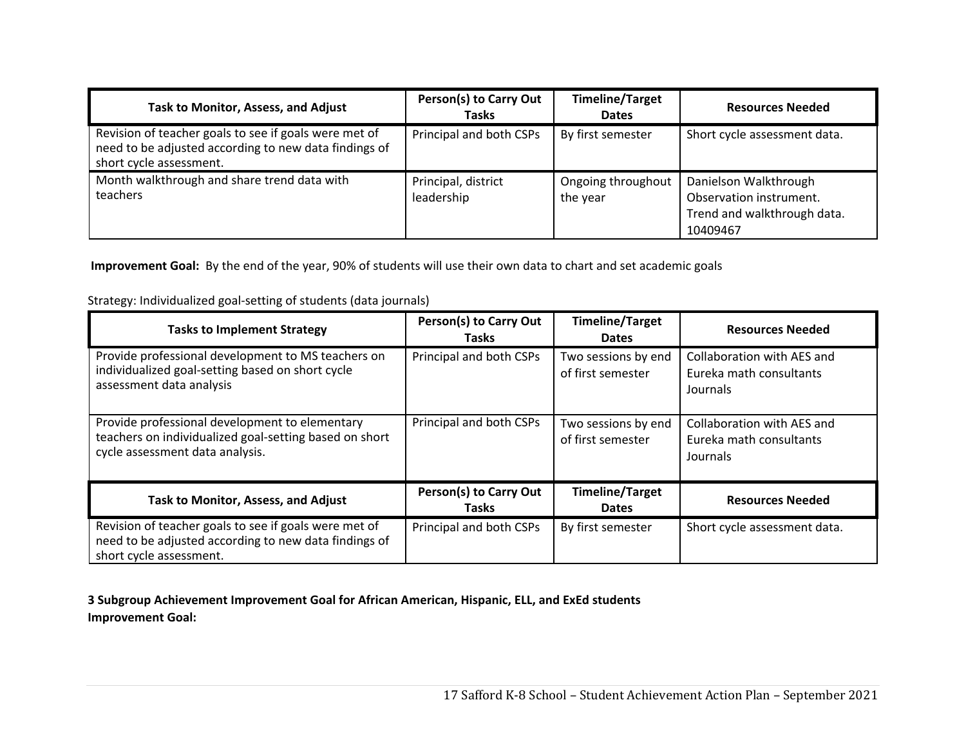| Task to Monitor, Assess, and Adjust                                                                                                       | Person(s) to Carry Out<br><b>Tasks</b> | <b>Timeline/Target</b><br><b>Dates</b> | <b>Resources Needed</b>                                                                     |
|-------------------------------------------------------------------------------------------------------------------------------------------|----------------------------------------|----------------------------------------|---------------------------------------------------------------------------------------------|
| Revision of teacher goals to see if goals were met of<br>need to be adjusted according to new data findings of<br>short cycle assessment. | Principal and both CSPs                | By first semester                      | Short cycle assessment data.                                                                |
| Month walkthrough and share trend data with<br>teachers                                                                                   | Principal, district<br>leadership      | Ongoing throughout<br>the year         | Danielson Walkthrough<br>Observation instrument.<br>Trend and walkthrough data.<br>10409467 |

 **Improvement Goal:** By the end of the year, 90% of students will use their own data to chart and set academic goals

| <b>Tasks to Implement Strategy</b>                                                                                                          | Person(s) to Carry Out<br><b>Tasks</b> | <b>Timeline/Target</b><br><b>Dates</b>   | <b>Resources Needed</b>                                           |
|---------------------------------------------------------------------------------------------------------------------------------------------|----------------------------------------|------------------------------------------|-------------------------------------------------------------------|
| Provide professional development to MS teachers on<br>individualized goal-setting based on short cycle<br>assessment data analysis          | Principal and both CSPs                | Two sessions by end<br>of first semester | Collaboration with AES and<br>Eureka math consultants<br>Journals |
| Provide professional development to elementary<br>teachers on individualized goal-setting based on short<br>cycle assessment data analysis. | Principal and both CSPs                | Two sessions by end<br>of first semester | Collaboration with AES and<br>Eureka math consultants<br>Journals |
| Task to Monitor, Assess, and Adjust                                                                                                         | Person(s) to Carry Out<br><b>Tasks</b> | <b>Timeline/Target</b><br><b>Dates</b>   | <b>Resources Needed</b>                                           |
| Revision of teacher goals to see if goals were met of<br>need to be adjusted according to new data findings of<br>short cycle assessment.   | Principal and both CSPs                | By first semester                        | Short cycle assessment data.                                      |

Strategy: Individualized goal‐setting of students (data journals)

**3 Subgroup Achievement Improvement Goal for African American, Hispanic, ELL, and ExEd students Improvement Goal:**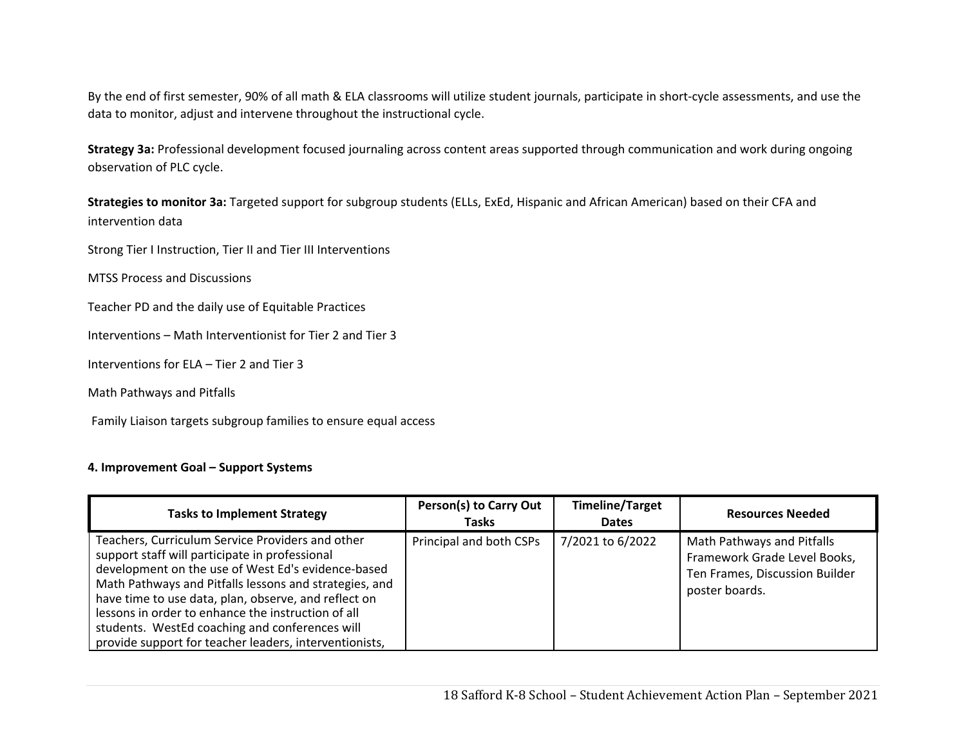By the end of first semester, 90% of all math & ELA classrooms will utilize student journals, participate in short-cycle assessments, and use the data to monitor, adjust and intervene throughout the instructional cycle.

**Strategy 3a:** Professional development focused journaling across content areas supported through communication and work during ongoing observation of PLC cycle.

**Strategies to monitor 3a:** Targeted support for subgroup students (ELLs, ExEd, Hispanic and African American) based on their CFA and intervention data

Strong Tier I Instruction, Tier II and Tier III Interventions

MTSS Process and Discussions

Teacher PD and the daily use of Equitable Practices

Interventions – Math Interventionist for Tier 2 and Tier 3

Interventions for ELA – Tier 2 and Tier 3

Math Pathways and Pitfalls

Family Liaison targets subgroup families to ensure equal access

### **4. Improvement Goal – Support Systems**

| <b>Tasks to Implement Strategy</b>                                                                                                                                                                                                                                                                                                                                                                                                           | Person(s) to Carry Out<br><b>Tasks</b> | <b>Timeline/Target</b><br><b>Dates</b> | <b>Resources Needed</b>                                                                                        |
|----------------------------------------------------------------------------------------------------------------------------------------------------------------------------------------------------------------------------------------------------------------------------------------------------------------------------------------------------------------------------------------------------------------------------------------------|----------------------------------------|----------------------------------------|----------------------------------------------------------------------------------------------------------------|
| Teachers, Curriculum Service Providers and other<br>support staff will participate in professional<br>development on the use of West Ed's evidence-based<br>Math Pathways and Pitfalls lessons and strategies, and<br>have time to use data, plan, observe, and reflect on<br>lessons in order to enhance the instruction of all<br>students. WestEd coaching and conferences will<br>provide support for teacher leaders, interventionists, | Principal and both CSPs                | 7/2021 to 6/2022                       | Math Pathways and Pitfalls<br>Framework Grade Level Books,<br>Ten Frames, Discussion Builder<br>poster boards. |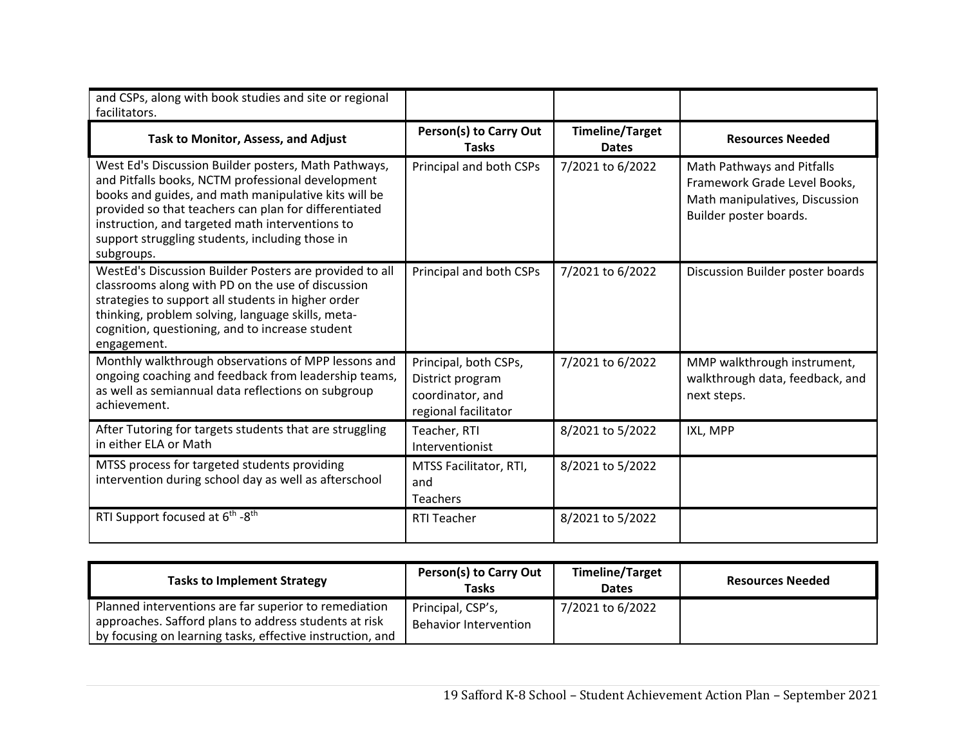| and CSPs, along with book studies and site or regional<br>facilitators.                                                                                                                                                                                                                                                                        |                                                                                       |                                        |                                                                                                                        |
|------------------------------------------------------------------------------------------------------------------------------------------------------------------------------------------------------------------------------------------------------------------------------------------------------------------------------------------------|---------------------------------------------------------------------------------------|----------------------------------------|------------------------------------------------------------------------------------------------------------------------|
| Task to Monitor, Assess, and Adjust                                                                                                                                                                                                                                                                                                            | Person(s) to Carry Out<br><b>Tasks</b>                                                | <b>Timeline/Target</b><br><b>Dates</b> | <b>Resources Needed</b>                                                                                                |
| West Ed's Discussion Builder posters, Math Pathways,<br>and Pitfalls books, NCTM professional development<br>books and guides, and math manipulative kits will be<br>provided so that teachers can plan for differentiated<br>instruction, and targeted math interventions to<br>support struggling students, including those in<br>subgroups. | Principal and both CSPs                                                               | 7/2021 to 6/2022                       | Math Pathways and Pitfalls<br>Framework Grade Level Books,<br>Math manipulatives, Discussion<br>Builder poster boards. |
| WestEd's Discussion Builder Posters are provided to all<br>classrooms along with PD on the use of discussion<br>strategies to support all students in higher order<br>thinking, problem solving, language skills, meta-<br>cognition, questioning, and to increase student<br>engagement.                                                      | Principal and both CSPs                                                               | 7/2021 to 6/2022                       | Discussion Builder poster boards                                                                                       |
| Monthly walkthrough observations of MPP lessons and<br>ongoing coaching and feedback from leadership teams,<br>as well as semiannual data reflections on subgroup<br>achievement.                                                                                                                                                              | Principal, both CSPs,<br>District program<br>coordinator, and<br>regional facilitator | 7/2021 to 6/2022                       | MMP walkthrough instrument,<br>walkthrough data, feedback, and<br>next steps.                                          |
| After Tutoring for targets students that are struggling<br>in either ELA or Math                                                                                                                                                                                                                                                               | Teacher, RTI<br>Interventionist                                                       | 8/2021 to 5/2022                       | IXL, MPP                                                                                                               |
| MTSS process for targeted students providing<br>intervention during school day as well as afterschool                                                                                                                                                                                                                                          | MTSS Facilitator, RTI,<br>and<br><b>Teachers</b>                                      | 8/2021 to 5/2022                       |                                                                                                                        |
| RTI Support focused at 6 <sup>th</sup> -8 <sup>th</sup>                                                                                                                                                                                                                                                                                        | <b>RTI Teacher</b>                                                                    | 8/2021 to 5/2022                       |                                                                                                                        |

| <b>Tasks to Implement Strategy</b>                                                                                                                                          | <b>Person(s) to Carry Out</b><br>Tasks            | <b>Timeline/Target</b><br><b>Dates</b> | <b>Resources Needed</b> |
|-----------------------------------------------------------------------------------------------------------------------------------------------------------------------------|---------------------------------------------------|----------------------------------------|-------------------------|
| Planned interventions are far superior to remediation<br>approaches. Safford plans to address students at risk<br>by focusing on learning tasks, effective instruction, and | Principal, CSP's,<br><b>Behavior Intervention</b> | 7/2021 to 6/2022                       |                         |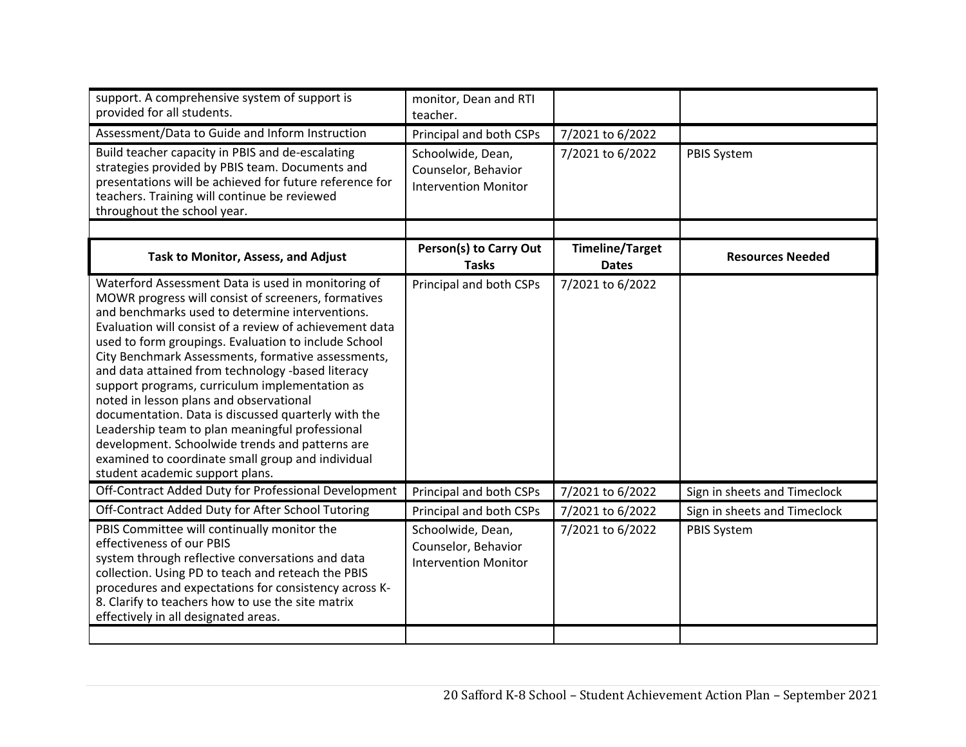| monitor, Dean and RTI<br>teacher.                                       |                        |                              |
|-------------------------------------------------------------------------|------------------------|------------------------------|
| Principal and both CSPs                                                 | 7/2021 to 6/2022       |                              |
| Schoolwide, Dean,<br>Counselor, Behavior<br><b>Intervention Monitor</b> | 7/2021 to 6/2022       | <b>PBIS System</b>           |
|                                                                         |                        |                              |
| <b>Tasks</b>                                                            | <b>Dates</b>           | <b>Resources Needed</b>      |
| Principal and both CSPs                                                 | 7/2021 to 6/2022       |                              |
| Principal and both CSPs                                                 | 7/2021 to 6/2022       | Sign in sheets and Timeclock |
| Principal and both CSPs                                                 | 7/2021 to 6/2022       | Sign in sheets and Timeclock |
| Schoolwide, Dean,<br>Counselor, Behavior<br><b>Intervention Monitor</b> | 7/2021 to 6/2022       | <b>PBIS System</b>           |
|                                                                         | Person(s) to Carry Out | <b>Timeline/Target</b>       |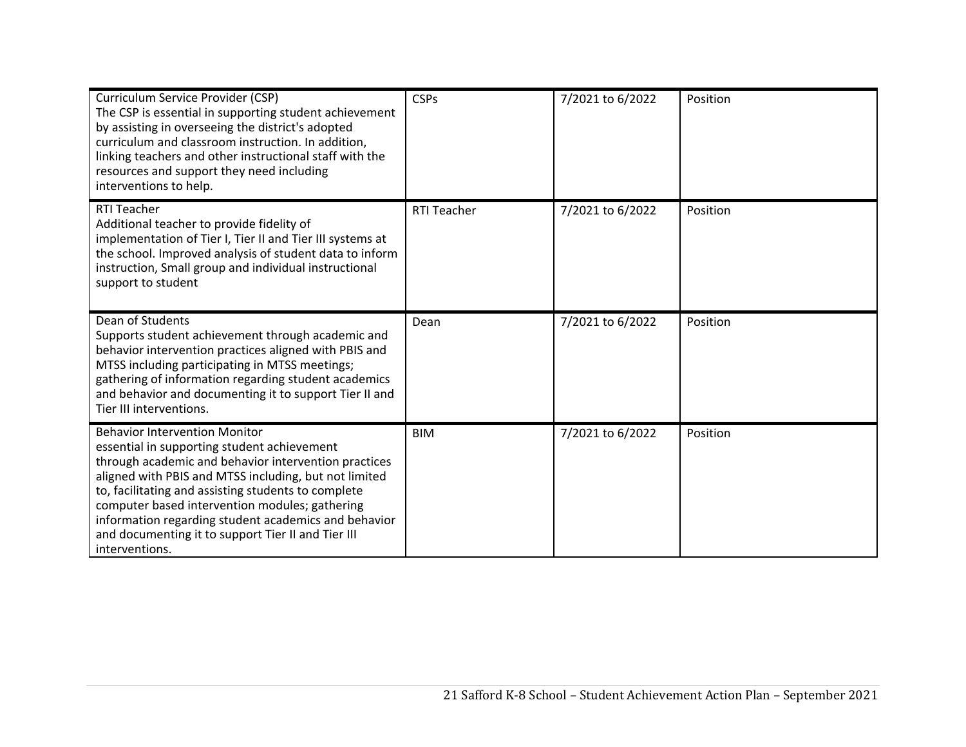| Curriculum Service Provider (CSP)<br>The CSP is essential in supporting student achievement<br>by assisting in overseeing the district's adopted<br>curriculum and classroom instruction. In addition,<br>linking teachers and other instructional staff with the<br>resources and support they need including<br>interventions to help.                                                                                                      | <b>CSPs</b> | 7/2021 to 6/2022 | Position |
|-----------------------------------------------------------------------------------------------------------------------------------------------------------------------------------------------------------------------------------------------------------------------------------------------------------------------------------------------------------------------------------------------------------------------------------------------|-------------|------------------|----------|
| <b>RTI Teacher</b><br>Additional teacher to provide fidelity of<br>implementation of Tier I, Tier II and Tier III systems at<br>the school. Improved analysis of student data to inform<br>instruction, Small group and individual instructional<br>support to student                                                                                                                                                                        | RTI Teacher | 7/2021 to 6/2022 | Position |
| Dean of Students<br>Supports student achievement through academic and<br>behavior intervention practices aligned with PBIS and<br>MTSS including participating in MTSS meetings;<br>gathering of information regarding student academics<br>and behavior and documenting it to support Tier II and<br>Tier III interventions.                                                                                                                 | Dean        | 7/2021 to 6/2022 | Position |
| <b>Behavior Intervention Monitor</b><br>essential in supporting student achievement<br>through academic and behavior intervention practices<br>aligned with PBIS and MTSS including, but not limited<br>to, facilitating and assisting students to complete<br>computer based intervention modules; gathering<br>information regarding student academics and behavior<br>and documenting it to support Tier II and Tier III<br>interventions. | <b>BIM</b>  | 7/2021 to 6/2022 | Position |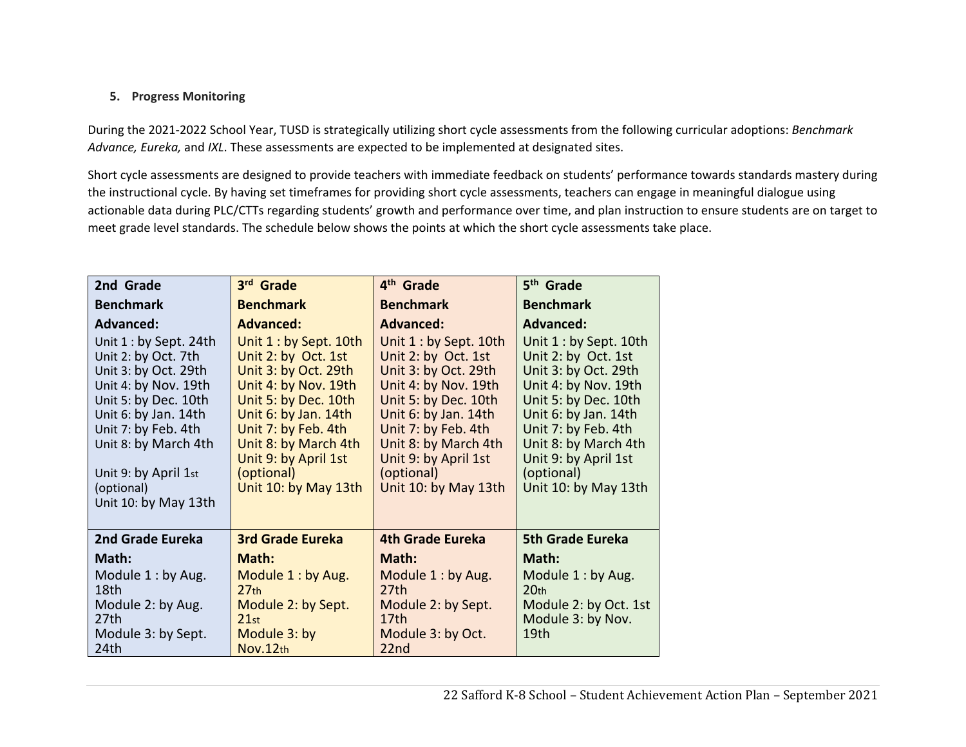### **5. Progress Monitoring**

During the 2021‐2022 School Year, TUSD is strategically utilizing short cycle assessments from the following curricular adoptions: *Benchmark Advance, Eureka,* and *IXL*. These assessments are expected to be implemented at designated sites.

Short cycle assessments are designed to provide teachers with immediate feedback on students' performance towards standards mastery during the instructional cycle. By having set timeframes for providing short cycle assessments, teachers can engage in meaningful dialogue using actionable data during PLC/CTTs regarding students' growth and performance over time, and plan instruction to ensure students are on target to meet grade level standards. The schedule below shows the points at which the short cycle assessments take place.

| 2nd Grade                                    | 3rd Grade                                    | 4 <sup>th</sup> Grade                        | 5 <sup>th</sup> Grade                        |
|----------------------------------------------|----------------------------------------------|----------------------------------------------|----------------------------------------------|
| <b>Benchmark</b>                             | <b>Benchmark</b>                             | <b>Benchmark</b>                             | <b>Benchmark</b>                             |
| <b>Advanced:</b>                             | Advanced:                                    | Advanced:                                    | <b>Advanced:</b>                             |
| Unit $1:$ by Sept. 24th                      | Unit 1: by Sept. 10th                        | Unit 1 : by Sept. 10th                       | Unit 1 : by Sept. 10th                       |
| Unit 2: by Oct. 7th                          | Unit 2: by Oct. 1st                          | Unit 2: by Oct. 1st                          | Unit 2: by Oct. 1st                          |
| Unit 3: by Oct. 29th                         | Unit 3: by Oct. 29th                         | Unit 3: by Oct. 29th                         | Unit 3: by Oct. 29th                         |
| Unit 4: by Nov. 19th<br>Unit 5: by Dec. 10th | Unit 4: by Nov. 19th<br>Unit 5: by Dec. 10th | Unit 4: by Nov. 19th<br>Unit 5: by Dec. 10th | Unit 4: by Nov. 19th<br>Unit 5: by Dec. 10th |
| Unit 6: by Jan. 14th                         | Unit 6: by Jan. 14th                         | Unit 6: by Jan. 14th                         | Unit 6: by Jan. 14th                         |
| Unit 7: by Feb. 4th                          | Unit 7: by Feb. 4th                          | Unit 7: by Feb. 4th                          | Unit 7: by Feb. 4th                          |
| Unit 8: by March 4th                         | Unit 8: by March 4th                         | Unit 8: by March 4th                         | Unit 8: by March 4th                         |
|                                              | Unit 9: by April 1st                         | Unit 9: by April 1st                         | Unit 9: by April 1st                         |
| Unit 9: by April 1st<br>(optional)           | (optional)<br>Unit 10: by May 13th           | (optional)<br>Unit 10: by May 13th           | (optional)<br>Unit 10: by May 13th           |
| Unit 10: by May 13th                         |                                              |                                              |                                              |
|                                              |                                              |                                              |                                              |
| 2nd Grade Eureka                             | <b>3rd Grade Eureka</b>                      | 4th Grade Eureka                             | <b>5th Grade Eureka</b>                      |
| Math:                                        | Math:                                        | Math:                                        | Math:                                        |
| Module 1: by Aug.                            | Module 1: by Aug.                            | Module 1: by Aug.                            | Module 1: by Aug.                            |
| 18th                                         | 27 <sub>th</sub>                             | 27th                                         | 20 <sub>th</sub>                             |
| Module 2: by Aug.                            | Module 2: by Sept.                           | Module 2: by Sept.                           | Module 2: by Oct. 1st                        |
| 27th<br>Module 3: by Sept.                   | 21st<br>Module 3: by                         | 17th<br>Module 3: by Oct.                    | Module 3: by Nov.<br>19 <sub>th</sub>        |
| 24th                                         | Nov.12th                                     | 22nd                                         |                                              |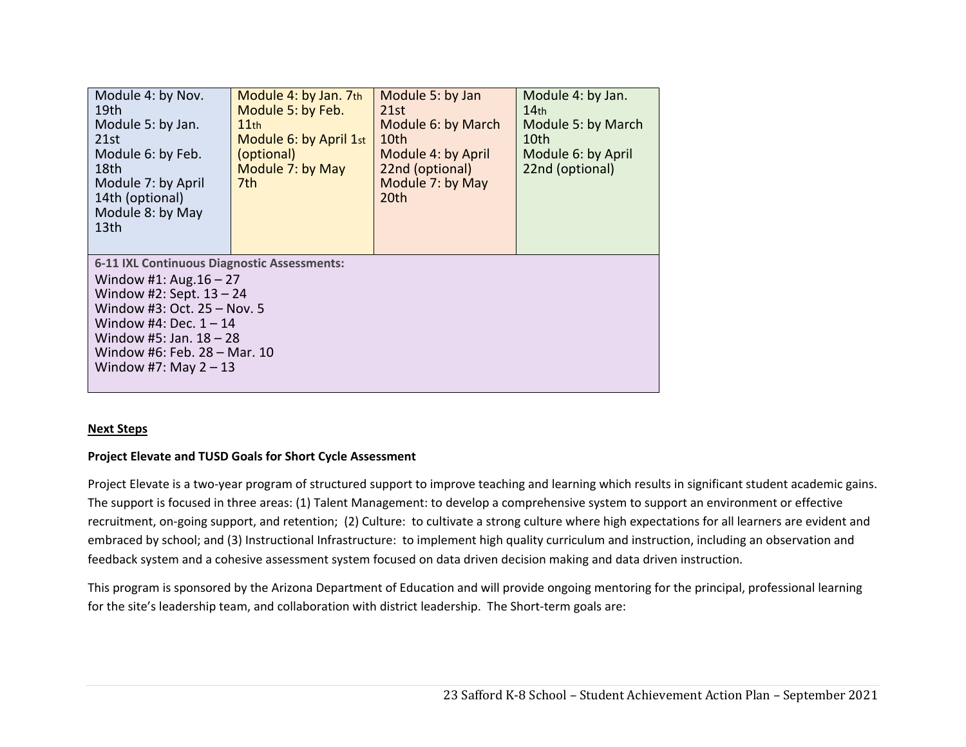| Module 4: by Nov.<br>19th<br>Module 5: by Jan.<br>21st<br>Module 6: by Feb.<br>18th<br>Module 7: by April<br>14th (optional)<br>Module 8: by May<br>13 <sub>th</sub>                                                                                      | Module 4: by Jan. 7th<br>Module 5: by Feb.<br>$11$ th<br>Module 6: by April 1st<br>(optional)<br>Module 7: by May<br>7th | Module 5: by Jan<br>21st<br>Module 6: by March<br>10th<br>Module 4: by April<br>22nd (optional)<br>Module 7: by May<br>20th | Module 4: by Jan.<br>14 <sub>th</sub><br>Module 5: by March<br>10th<br>Module 6: by April<br>22nd (optional) |  |
|-----------------------------------------------------------------------------------------------------------------------------------------------------------------------------------------------------------------------------------------------------------|--------------------------------------------------------------------------------------------------------------------------|-----------------------------------------------------------------------------------------------------------------------------|--------------------------------------------------------------------------------------------------------------|--|
| 6-11 IXL Continuous Diagnostic Assessments:<br>Window #1: Aug. $16 - 27$<br>Window #2: Sept. $13 - 24$<br>Window #3: Oct. 25 - Nov. 5<br>Window #4: Dec. $1 - 14$<br>Window #5: Jan. $18 - 28$<br>Window #6: Feb. 28 - Mar. 10<br>Window #7: May $2 - 13$ |                                                                                                                          |                                                                                                                             |                                                                                                              |  |

#### **Next Steps**

#### **Project Elevate and TUSD Goals for Short Cycle Assessment**

Project Elevate is a two-year program of structured support to improve teaching and learning which results in significant student academic gains. The support is focused in three areas: (1) Talent Management: to develop a comprehensive system to support an environment or effective recruitment, on‐going support, and retention; (2) Culture: to cultivate a strong culture where high expectations for all learners are evident and embraced by school; and (3) Instructional Infrastructure: to implement high quality curriculum and instruction, including an observation and feedback system and a cohesive assessment system focused on data driven decision making and data driven instruction.

This program is sponsored by the Arizona Department of Education and will provide ongoing mentoring for the principal, professional learning for the site's leadership team, and collaboration with district leadership. The Short-term goals are: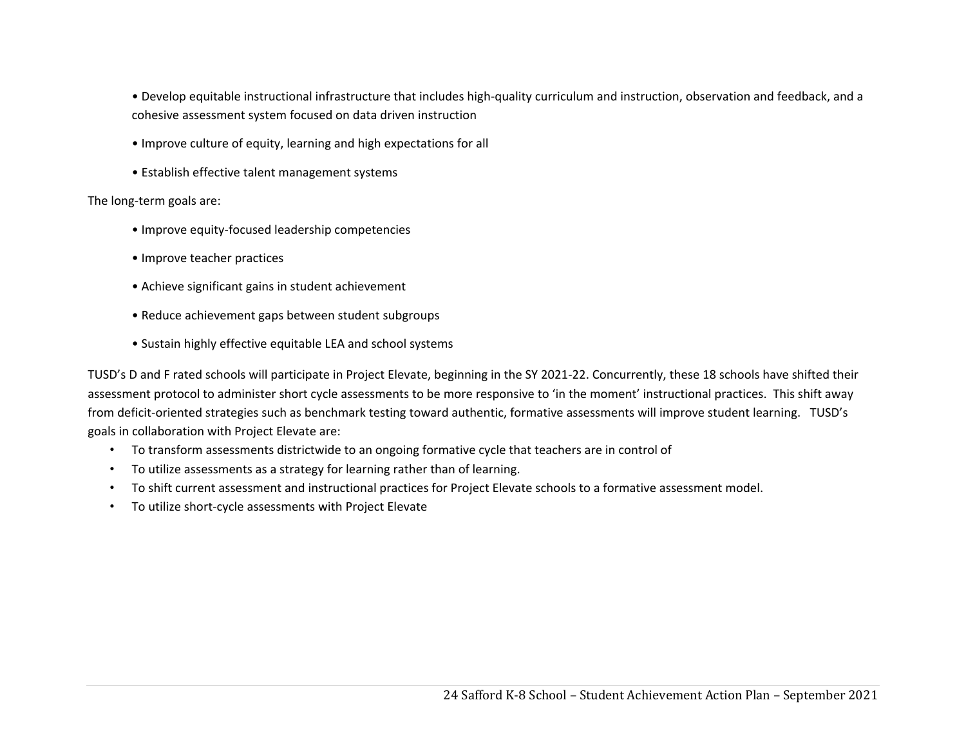• Develop equitable instructional infrastructure that includes high‐quality curriculum and instruction, observation and feedback, and a cohesive assessment system focused on data driven instruction

- Improve culture of equity, learning and high expectations for all
- Establish effective talent management systems

The long‐term goals are:

- Improve equity‐focused leadership competencies
- Improve teacher practices
- Achieve significant gains in student achievement
- Reduce achievement gaps between student subgroups
- Sustain highly effective equitable LEA and school systems

TUSD's D and F rated schools will participate in Project Elevate, beginning in the SY 2021-22. Concurrently, these 18 schools have shifted their assessment protocol to administer short cycle assessments to be more responsive to 'in the moment' instructional practices. This shift away from deficit-oriented strategies such as benchmark testing toward authentic, formative assessments will improve student learning. TUSD's goals in collaboration with Project Elevate are:

- To transform assessments districtwide to an ongoing formative cycle that teachers are in control of
- To utilize assessments as a strategy for learning rather than of learning.
- To shift current assessment and instructional practices for Project Elevate schools to a formative assessment model.
- To utilize short‐cycle assessments with Project Elevate